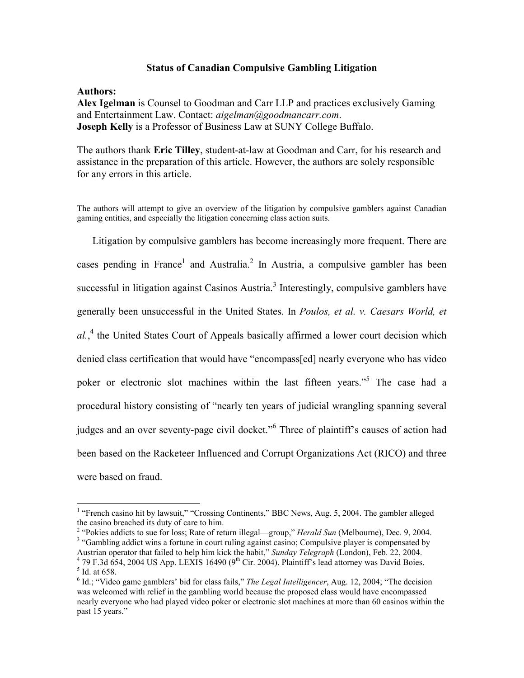## **Status of Canadian Compulsive Gambling Litigation**

## **Authors:**

 $\overline{a}$ 

**Alex Igelman** is Counsel to Goodman and Carr LLP and practices exclusively Gaming and Entertainment Law. Contact: *aigelman@goodmancarr.com*. **Joseph Kelly** is a Professor of Business Law at SUNY College Buffalo.

The authors thank **Eric Tilley**, student-at-law at Goodman and Carr, for his research and assistance in the preparation of this article. However, the authors are solely responsible for any errors in this article.

The authors will attempt to give an overview of the litigation by compulsive gamblers against Canadian gaming entities, and especially the litigation concerning class action suits.

Litigation by compulsive gamblers has become increasingly more frequent. There are cases pending in France<sup>1</sup> and Australia.<sup>2</sup> In Austria, a compulsive gambler has been successful in litigation against Casinos Austria.<sup>3</sup> Interestingly, compulsive gamblers have generally been unsuccessful in the United States. In *Poulos, et al. v. Caesars World, et*  al.,<sup>4</sup> the United States Court of Appeals basically affirmed a lower court decision which denied class certification that would have "encompass[ed] nearly everyone who has video poker or electronic slot machines within the last fifteen years."<sup>5</sup> The case had a procedural history consisting of "nearly ten years of judicial wrangling spanning several judges and an over seventy-page civil docket."<sup>6</sup> Three of plaintiff's causes of action had been based on the Racketeer Influenced and Corrupt Organizations Act (RICO) and three were based on fraud.

<sup>&</sup>lt;sup>1</sup> "French casino hit by lawsuit," "Crossing Continents," BBC News, Aug. 5, 2004. The gambler alleged the casino breached its duty of care to him.

<sup>&</sup>lt;sup>2</sup> "Pokies addicts to sue for loss; Rate of return illegal—group," *Herald Sun* (Melbourne), Dec. 9, 2004.

<sup>&</sup>lt;sup>3</sup> "Gambling addict wins a fortune in court ruling against casino; Compulsive player is compensated by Austrian operator that failed to help him kick the habit," *Sunday Telegraph* (London), Feb. 22, 2004.  $4$  79 F.3d 654, 2004 US App. LEXIS 16490 (9<sup>th</sup> Cir. 2004). Plaintiff's lead attorney was David Boies. <sup>5</sup> Id. at 658.

<sup>&</sup>lt;sup>6</sup> Id.; "Video game gamblers' bid for class fails," *The Legal Intelligencer*, Aug. 12, 2004; "The decision was welcomed with relief in the gambling world because the proposed class would have encompassed nearly everyone who had played video poker or electronic slot machines at more than 60 casinos within the past 15 years."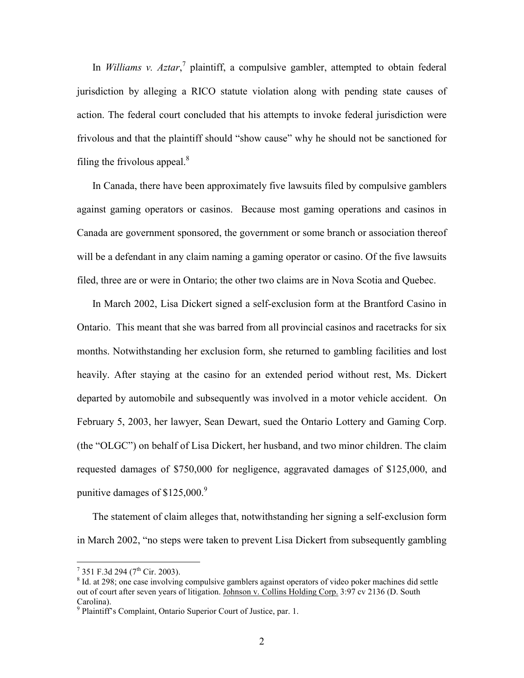In *Williams v. Aztar*,<sup>7</sup> plaintiff, a compulsive gambler, attempted to obtain federal jurisdiction by alleging a RICO statute violation along with pending state causes of action. The federal court concluded that his attempts to invoke federal jurisdiction were frivolous and that the plaintiff should "show cause" why he should not be sanctioned for filing the frivolous appeal. $\delta$ 

In Canada, there have been approximately five lawsuits filed by compulsive gamblers against gaming operators or casinos. Because most gaming operations and casinos in Canada are government sponsored, the government or some branch or association thereof will be a defendant in any claim naming a gaming operator or casino. Of the five lawsuits filed, three are or were in Ontario; the other two claims are in Nova Scotia and Quebec.

In March 2002, Lisa Dickert signed a self-exclusion form at the Brantford Casino in Ontario. This meant that she was barred from all provincial casinos and racetracks for six months. Notwithstanding her exclusion form, she returned to gambling facilities and lost heavily. After staying at the casino for an extended period without rest, Ms. Dickert departed by automobile and subsequently was involved in a motor vehicle accident. On February 5, 2003, her lawyer, Sean Dewart, sued the Ontario Lottery and Gaming Corp. (the "OLGC") on behalf of Lisa Dickert, her husband, and two minor children. The claim requested damages of \$750,000 for negligence, aggravated damages of \$125,000, and punitive damages of  $$125,000<sup>9</sup>$ 

The statement of claim alleges that, notwithstanding her signing a self-exclusion form in March 2002, "no steps were taken to prevent Lisa Dickert from subsequently gambling

<sup>7&</sup>lt;br>
<sup>7</sup> 351 F.3d 294 (7<sup>th</sup> Cir. 2003).

<sup>&</sup>lt;sup>8</sup> Id. at 298; one case involving compulsive gamblers against operators of video poker machines did settle out of court after seven years of litigation. Johnson v. Collins Holding Corp. 3:97 cv 2136 (D. South Carolina).

<sup>&</sup>lt;sup>9</sup> Plaintiff's Complaint, Ontario Superior Court of Justice, par. 1.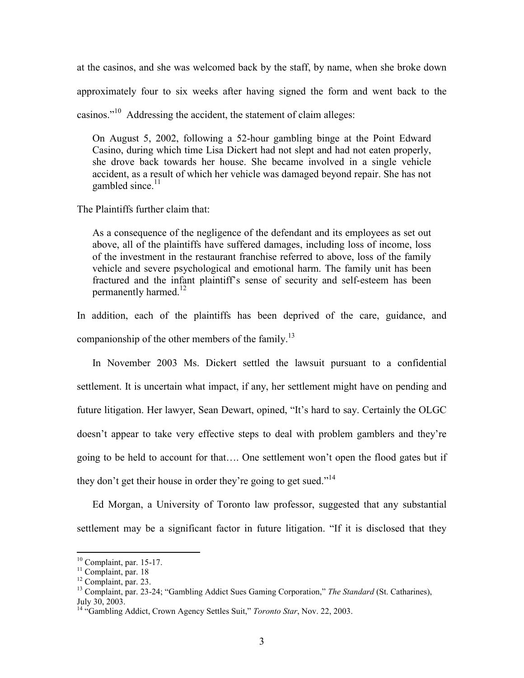at the casinos, and she was welcomed back by the staff, by name, when she broke down approximately four to six weeks after having signed the form and went back to the casinos."<sup>10</sup> Addressing the accident, the statement of claim alleges:

On August 5, 2002, following a 52-hour gambling binge at the Point Edward Casino, during which time Lisa Dickert had not slept and had not eaten properly, she drove back towards her house. She became involved in a single vehicle accident, as a result of which her vehicle was damaged beyond repair. She has not gambled since. $11$ 

The Plaintiffs further claim that:

As a consequence of the negligence of the defendant and its employees as set out above, all of the plaintiffs have suffered damages, including loss of income, loss of the investment in the restaurant franchise referred to above, loss of the family vehicle and severe psychological and emotional harm. The family unit has been fractured and the infant plaintiff's sense of security and self-esteem has been permanently harmed. $^{12}$ 

In addition, each of the plaintiffs has been deprived of the care, guidance, and companionship of the other members of the family.<sup>13</sup>

In November 2003 Ms. Dickert settled the lawsuit pursuant to a confidential settlement. It is uncertain what impact, if any, her settlement might have on pending and future litigation. Her lawyer, Sean Dewart, opined, "It's hard to say. Certainly the OLGC doesn't appear to take very effective steps to deal with problem gamblers and they're going to be held to account for that…. One settlement won't open the flood gates but if they don't get their house in order they're going to get sued."<sup>14</sup>

Ed Morgan, a University of Toronto law professor, suggested that any substantial settlement may be a significant factor in future litigation. "If it is disclosed that they

 $10$  Complaint, par. 15-17.

 $\frac{11}{11}$  Complaint, par. 18

<sup>&</sup>lt;sup>12</sup> Complaint, par. 23.

<sup>13</sup> Complaint, par. 23-24; "Gambling Addict Sues Gaming Corporation," *The Standard* (St. Catharines), July 30, 2003.

<sup>&</sup>lt;sup>14</sup> "Gambling Addict, Crown Agency Settles Suit," *Toronto Star*, Nov. 22, 2003.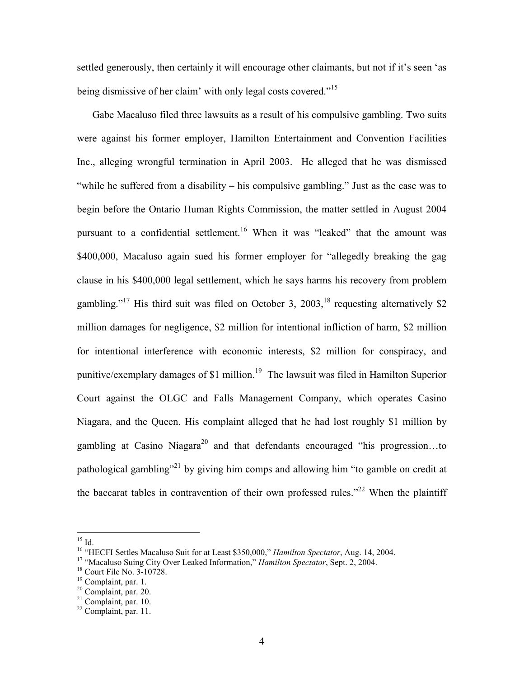settled generously, then certainly it will encourage other claimants, but not if it's seen 'as being dismissive of her claim' with only legal costs covered."<sup>15</sup>

Gabe Macaluso filed three lawsuits as a result of his compulsive gambling. Two suits were against his former employer, Hamilton Entertainment and Convention Facilities Inc., alleging wrongful termination in April 2003. He alleged that he was dismissed "while he suffered from a disability – his compulsive gambling." Just as the case was to begin before the Ontario Human Rights Commission, the matter settled in August 2004 pursuant to a confidential settlement.<sup>16</sup> When it was "leaked" that the amount was \$400,000, Macaluso again sued his former employer for "allegedly breaking the gag clause in his \$400,000 legal settlement, which he says harms his recovery from problem gambling."<sup>17</sup> His third suit was filed on October 3, 2003,<sup>18</sup> requesting alternatively \$2 million damages for negligence, \$2 million for intentional infliction of harm, \$2 million for intentional interference with economic interests, \$2 million for conspiracy, and punitive/exemplary damages of \$1 million.<sup>19</sup> The lawsuit was filed in Hamilton Superior Court against the OLGC and Falls Management Company, which operates Casino Niagara, and the Queen. His complaint alleged that he had lost roughly \$1 million by gambling at Casino Niagara<sup>20</sup> and that defendants encouraged "his progression...to" pathological gambling"<sup>21</sup> by giving him comps and allowing him "to gamble on credit at the baccarat tables in contravention of their own professed rules."<sup>22</sup> When the plaintiff

 $^{15}$  Id.

<sup>16</sup> "HECFI Settles Macaluso Suit for at Least \$350,000," *Hamilton Spectator*, Aug. 14, 2004.

<sup>17</sup> "Macaluso Suing City Over Leaked Information," *Hamilton Spectator*, Sept. 2, 2004.

<sup>18</sup> Court File No. 3-10728.

<sup>&</sup>lt;sup>19</sup> Complaint, par. 1.

 $20$  Complaint, par. 20.

 $21$  Complaint, par. 10.

 $22$  Complaint, par. 11.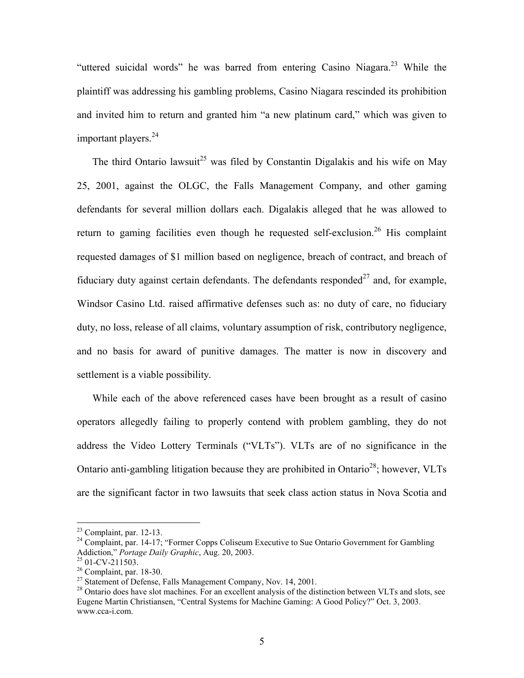"uttered suicidal words" he was barred from entering Casino Niagara.<sup>23</sup> While the plaintiff was addressing his gambling problems, Casino Niagara rescinded its prohibition and invited him to return and granted him "a new platinum card," which was given to important players.<sup>24</sup>

The third Ontario lawsuit<sup>25</sup> was filed by Constantin Digalakis and his wife on May 25, 2001, against the OLGC, the Falls Management Company, and other gaming defendants for several million dollars each. Digalakis alleged that he was allowed to return to gaming facilities even though he requested self-exclusion.<sup>26</sup> His complaint requested damages of \$1 million based on negligence, breach of contract, and breach of fiduciary duty against certain defendants. The defendants responded<sup>27</sup> and, for example, Windsor Casino Ltd. raised affirmative defenses such as: no duty of care, no fiduciary duty, no loss, release of all claims, voluntary assumption of risk, contributory negligence, and no basis for award of punitive damages. The matter is now in discovery and settlement is a viable possibility.

While each of the above referenced cases have been brought as a result of casino operators allegedly failing to properly contend with problem gambling, they do not address the Video Lottery Terminals ("VLTs"). VLTs are of no significance in the Ontario anti-gambling litigation because they are prohibited in Ontario<sup>28</sup>; however, VLTs are the significant factor in two lawsuits that seek class action status in Nova Scotia and

 $23$  Complaint, par. 12-13.

 $^{24}$  Complaint, par. 14-17; "Former Copps Coliseum Executive to Sue Ontario Government for Gambling Addiction," *Portage Daily Graphic*, Aug. 20, 2003.

<sup>25</sup> 01-CV-211503.

 $26$  Complaint, par. 18-30.

<sup>&</sup>lt;sup>27</sup> Statement of Defense, Falls Management Company, Nov. 14, 2001.

<sup>&</sup>lt;sup>28</sup> Ontario does have slot machines. For an excellent analysis of the distinction between VLTs and slots, see Eugene Martin Christiansen, "Central Systems for Machine Gaming: A Good Policy?" Oct. 3, 2003. www.cca-i.com.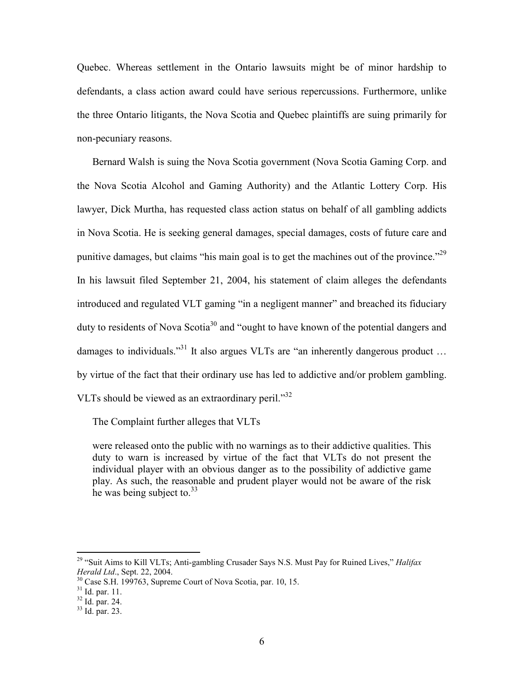Quebec. Whereas settlement in the Ontario lawsuits might be of minor hardship to defendants, a class action award could have serious repercussions. Furthermore, unlike the three Ontario litigants, the Nova Scotia and Quebec plaintiffs are suing primarily for non-pecuniary reasons.

Bernard Walsh is suing the Nova Scotia government (Nova Scotia Gaming Corp. and the Nova Scotia Alcohol and Gaming Authority) and the Atlantic Lottery Corp. His lawyer, Dick Murtha, has requested class action status on behalf of all gambling addicts in Nova Scotia. He is seeking general damages, special damages, costs of future care and punitive damages, but claims "his main goal is to get the machines out of the province."<sup>29</sup> In his lawsuit filed September 21, 2004, his statement of claim alleges the defendants introduced and regulated VLT gaming "in a negligent manner" and breached its fiduciary duty to residents of Nova Scotia<sup>30</sup> and "ought to have known of the potential dangers and damages to individuals.<sup>331</sup> It also argues VLTs are "an inherently dangerous product ... by virtue of the fact that their ordinary use has led to addictive and/or problem gambling. VLTs should be viewed as an extraordinary peril."<sup>32</sup>

The Complaint further alleges that VLTs

were released onto the public with no warnings as to their addictive qualities. This duty to warn is increased by virtue of the fact that VLTs do not present the individual player with an obvious danger as to the possibility of addictive game play. As such, the reasonable and prudent player would not be aware of the risk he was being subject to.  $33<sup>33</sup>$ 

<sup>29</sup> "Suit Aims to Kill VLTs; Anti-gambling Crusader Says N.S. Must Pay for Ruined Lives," *Halifax Herald Ltd*., Sept. 22, 2004.

<sup>&</sup>lt;sup>30</sup> Case S.H. 199763, Supreme Court of Nova Scotia, par. 10, 15.

 $31$  Id. par. 11.

 $32$  Id. par. 24.

<sup>33</sup> Id. par. 23.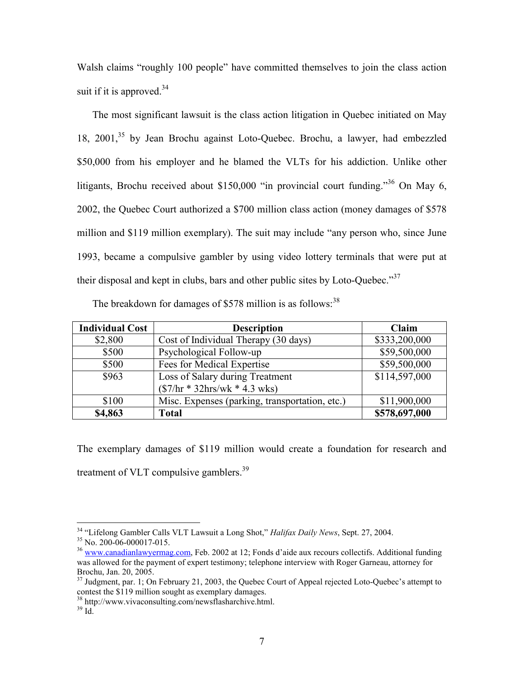Walsh claims "roughly 100 people" have committed themselves to join the class action suit if it is approved. $34$ 

The most significant lawsuit is the class action litigation in Quebec initiated on May 18, 2001,<sup>35</sup> by Jean Brochu against Loto-Quebec. Brochu, a lawyer, had embezzled \$50,000 from his employer and he blamed the VLTs for his addiction. Unlike other litigants, Brochu received about \$150,000 "in provincial court funding."<sup>36</sup> On May 6, 2002, the Quebec Court authorized a \$700 million class action (money damages of \$578 million and \$119 million exemplary). The suit may include "any person who, since June 1993, became a compulsive gambler by using video lottery terminals that were put at their disposal and kept in clubs, bars and other public sites by Loto-Ouebec." $37$ 

| <b>Individual Cost</b> | <b>Description</b>                             | Claim         |
|------------------------|------------------------------------------------|---------------|
| \$2,800                | Cost of Individual Therapy (30 days)           | \$333,200,000 |
| \$500                  | Psychological Follow-up                        | \$59,500,000  |
| \$500                  | Fees for Medical Expertise                     | \$59,500,000  |
| \$963                  | Loss of Salary during Treatment                | \$114,597,000 |
|                        | $(\$7/hr * 32hrs/wk * 4.3 wks)$                |               |
| \$100                  | Misc. Expenses (parking, transportation, etc.) | \$11,900,000  |
| \$4,863                | <b>Total</b>                                   | \$578,697,000 |

The breakdown for damages of  $$578$  million is as follows:<sup>38</sup>

The exemplary damages of \$119 million would create a foundation for research and treatment of VLT compulsive gamblers.<sup>39</sup>

<sup>34</sup> "Lifelong Gambler Calls VLT Lawsuit a Long Shot," *Halifax Daily News*, Sept. 27, 2004.

<sup>&</sup>lt;sup>35</sup> No. 200-06-000017-015.

<sup>36</sup> www.canadianlawyermag.com, Feb. 2002 at 12; Fonds d'aide aux recours collectifs. Additional funding was allowed for the payment of expert testimony; telephone interview with Roger Garneau, attorney for Brochu, Jan. 20, 2005.

 $37$  Judgment, par. 1; On February 21, 2003, the Quebec Court of Appeal rejected Loto-Quebec's attempt to contest the \$119 million sought as exemplary damages.

<sup>38</sup> http://www.vivaconsulting.com/newsflasharchive.html.

 $39$  Id.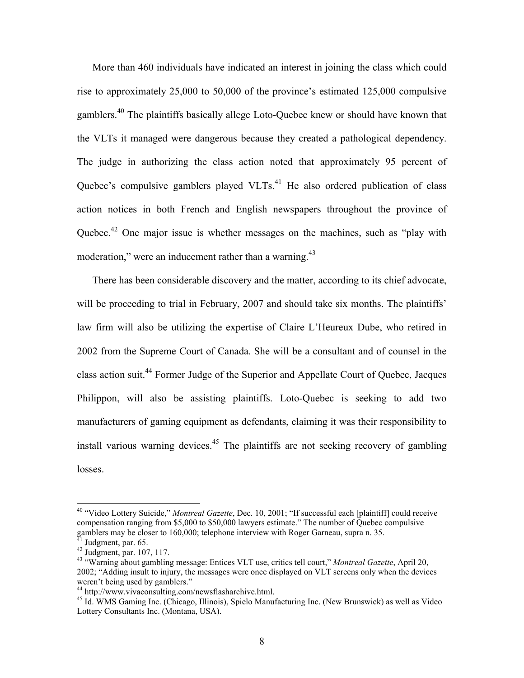More than 460 individuals have indicated an interest in joining the class which could rise to approximately 25,000 to 50,000 of the province's estimated 125,000 compulsive gamblers.<sup>40</sup> The plaintiffs basically allege Loto-Ouebec knew or should have known that the VLTs it managed were dangerous because they created a pathological dependency. The judge in authorizing the class action noted that approximately 95 percent of Quebec's compulsive gamblers played VLTs.<sup>41</sup> He also ordered publication of class action notices in both French and English newspapers throughout the province of Quebec.<sup>42</sup> One major issue is whether messages on the machines, such as "play with moderation," were an inducement rather than a warning.<sup>43</sup>

There has been considerable discovery and the matter, according to its chief advocate, will be proceeding to trial in February, 2007 and should take six months. The plaintiffs' law firm will also be utilizing the expertise of Claire L'Heureux Dube, who retired in 2002 from the Supreme Court of Canada. She will be a consultant and of counsel in the class action suit.<sup>44</sup> Former Judge of the Superior and Appellate Court of Quebec, Jacques Philippon, will also be assisting plaintiffs. Loto-Quebec is seeking to add two manufacturers of gaming equipment as defendants, claiming it was their responsibility to install various warning devices.<sup>45</sup> The plaintiffs are not seeking recovery of gambling losses.

<sup>40</sup> "Video Lottery Suicide," *Montreal Gazette*, Dec. 10, 2001; "If successful each [plaintiff] could receive compensation ranging from \$5,000 to \$50,000 lawyers estimate." The number of Quebec compulsive gamblers may be closer to 160,000; telephone interview with Roger Garneau, supra n. 35.  $41$  Judgment, par. 65.

 $42 \text{ Judgment, par. } 107, 117.$ 

<sup>43</sup> "Warning about gambling message: Entices VLT use, critics tell court," *Montreal Gazette*, April 20, 2002; "Adding insult to injury, the messages were once displayed on VLT screens only when the devices weren't being used by gamblers."

<sup>44</sup> http://www.vivaconsulting.com/newsflasharchive.html.

<sup>&</sup>lt;sup>45</sup> Id. WMS Gaming Inc. (Chicago, Illinois), Spielo Manufacturing Inc. (New Brunswick) as well as Video Lottery Consultants Inc. (Montana, USA).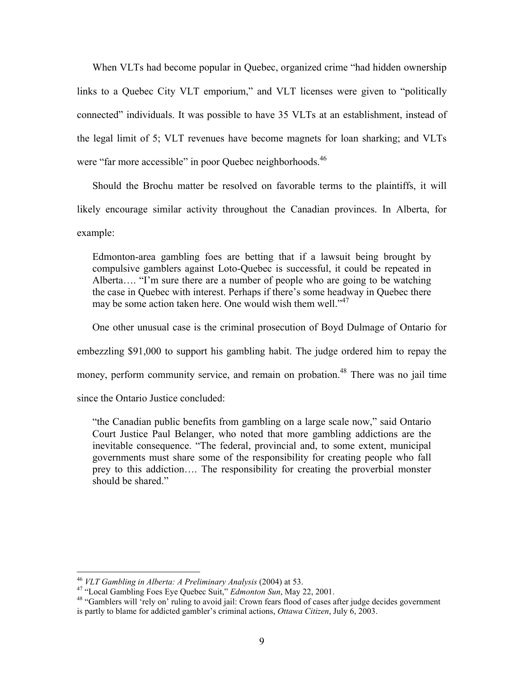When VLTs had become popular in Quebec, organized crime "had hidden ownership links to a Quebec City VLT emporium," and VLT licenses were given to "politically connected" individuals. It was possible to have 35 VLTs at an establishment, instead of the legal limit of 5; VLT revenues have become magnets for loan sharking; and VLTs were "far more accessible" in poor Quebec neighborhoods.<sup>46</sup>

Should the Brochu matter be resolved on favorable terms to the plaintiffs, it will likely encourage similar activity throughout the Canadian provinces. In Alberta, for example:

Edmonton-area gambling foes are betting that if a lawsuit being brought by compulsive gamblers against Loto-Quebec is successful, it could be repeated in Alberta…. "I'm sure there are a number of people who are going to be watching the case in Quebec with interest. Perhaps if there's some headway in Quebec there may be some action taken here. One would wish them well."<sup>47</sup>

One other unusual case is the criminal prosecution of Boyd Dulmage of Ontario for

embezzling \$91,000 to support his gambling habit. The judge ordered him to repay the

money, perform community service, and remain on probation.<sup>48</sup> There was no jail time

since the Ontario Justice concluded:

 $\overline{a}$ 

"the Canadian public benefits from gambling on a large scale now," said Ontario Court Justice Paul Belanger, who noted that more gambling addictions are the inevitable consequence. "The federal, provincial and, to some extent, municipal governments must share some of the responsibility for creating people who fall prey to this addiction…. The responsibility for creating the proverbial monster should be shared."

<sup>46</sup> *VLT Gambling in Alberta: A Preliminary Analysis* (2004) at 53.

<sup>47</sup> "Local Gambling Foes Eye Quebec Suit," *Edmonton Sun*, May 22, 2001.

<sup>&</sup>lt;sup>48</sup> "Gamblers will 'rely on' ruling to avoid jail: Crown fears flood of cases after judge decides government is partly to blame for addicted gambler's criminal actions, *Ottawa Citizen*, July 6, 2003.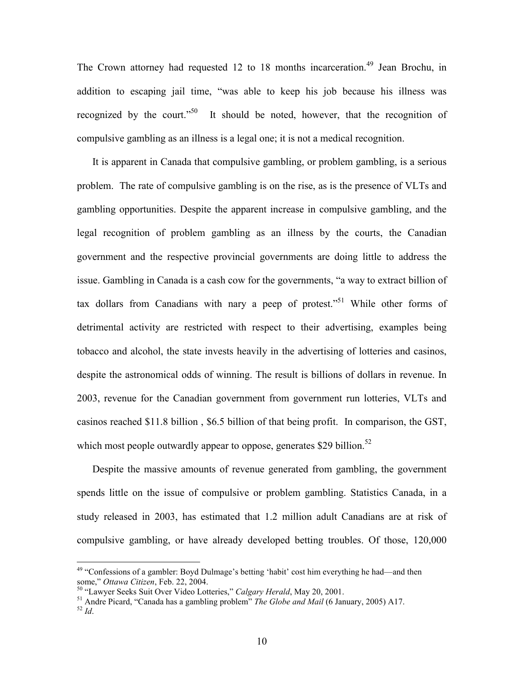The Crown attorney had requested 12 to 18 months incarceration.<sup>49</sup> Jean Brochu, in addition to escaping jail time, "was able to keep his job because his illness was recognized by the court."<sup>50</sup> It should be noted, however, that the recognition of compulsive gambling as an illness is a legal one; it is not a medical recognition.

It is apparent in Canada that compulsive gambling, or problem gambling, is a serious problem. The rate of compulsive gambling is on the rise, as is the presence of VLTs and gambling opportunities. Despite the apparent increase in compulsive gambling, and the legal recognition of problem gambling as an illness by the courts, the Canadian government and the respective provincial governments are doing little to address the issue. Gambling in Canada is a cash cow for the governments, "a way to extract billion of tax dollars from Canadians with nary a peep of protest."<sup>51</sup> While other forms of detrimental activity are restricted with respect to their advertising, examples being tobacco and alcohol, the state invests heavily in the advertising of lotteries and casinos, despite the astronomical odds of winning. The result is billions of dollars in revenue. In 2003, revenue for the Canadian government from government run lotteries, VLTs and casinos reached \$11.8 billion , \$6.5 billion of that being profit. In comparison, the GST, which most people outwardly appear to oppose, generates \$29 billion.<sup>52</sup>

Despite the massive amounts of revenue generated from gambling, the government spends little on the issue of compulsive or problem gambling. Statistics Canada, in a study released in 2003, has estimated that 1.2 million adult Canadians are at risk of compulsive gambling, or have already developed betting troubles. Of those, 120,000

<sup>&</sup>lt;sup>49</sup> "Confessions of a gambler: Boyd Dulmage's betting 'habit' cost him everything he had—and then some," *Ottawa Citizen*, Feb. 22, 2004.

<sup>50</sup> "Lawyer Seeks Suit Over Video Lotteries," *Calgary Herald*, May 20, 2001.

<sup>51</sup> Andre Picard, "Canada has a gambling problem" *The Globe and Mail* (6 January, 2005) A17. <sup>52</sup> *Id*.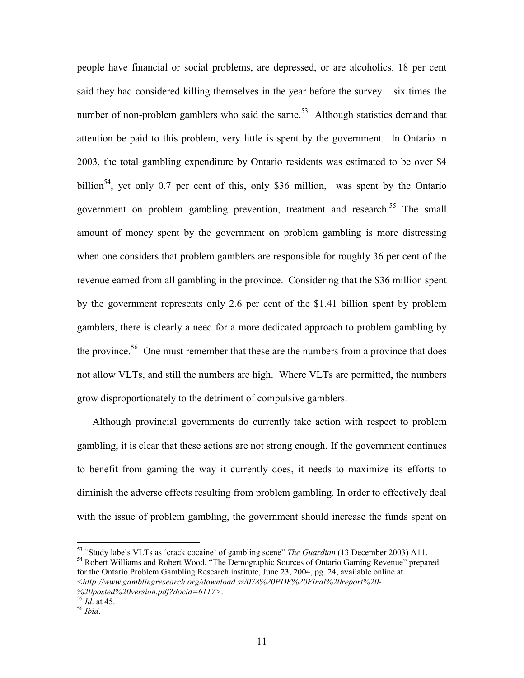people have financial or social problems, are depressed, or are alcoholics. 18 per cent said they had considered killing themselves in the year before the survey – six times the number of non-problem gamblers who said the same.<sup>53</sup> Although statistics demand that attention be paid to this problem, very little is spent by the government. In Ontario in 2003, the total gambling expenditure by Ontario residents was estimated to be over \$4 billion<sup>54</sup>, yet only 0.7 per cent of this, only \$36 million, was spent by the Ontario government on problem gambling prevention, treatment and research.<sup>55</sup> The small amount of money spent by the government on problem gambling is more distressing when one considers that problem gamblers are responsible for roughly 36 per cent of the revenue earned from all gambling in the province. Considering that the \$36 million spent by the government represents only 2.6 per cent of the \$1.41 billion spent by problem gamblers, there is clearly a need for a more dedicated approach to problem gambling by the province.<sup>56</sup> One must remember that these are the numbers from a province that does not allow VLTs, and still the numbers are high. Where VLTs are permitted, the numbers grow disproportionately to the detriment of compulsive gamblers.

Although provincial governments do currently take action with respect to problem gambling, it is clear that these actions are not strong enough. If the government continues to benefit from gaming the way it currently does, it needs to maximize its efforts to diminish the adverse effects resulting from problem gambling. In order to effectively deal with the issue of problem gambling, the government should increase the funds spent on

<sup>53</sup> "Study labels VLTs as 'crack cocaine' of gambling scene" *The Guardian* (13 December 2003) A11. <sup>54</sup> Robert Williams and Robert Wood, "The Demographic Sources of Ontario Gaming Revenue" prepared for the Ontario Problem Gambling Research institute, June 23, 2004, pg. 24, available online at *<http://www.gamblingresearch.org/download.sz/078%20PDF%20Final%20report%20-*

*<sup>%20</sup>posted%20version.pdf?docid=6117>*.

<sup>55</sup> *Id*. at 45.

<sup>56</sup> *Ibid*.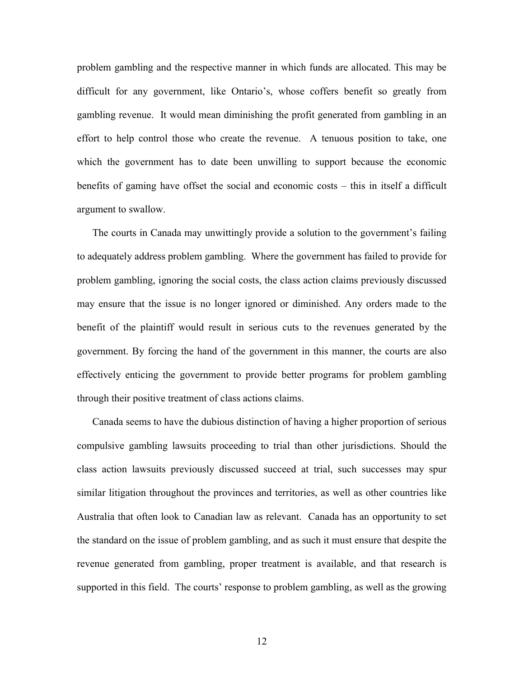problem gambling and the respective manner in which funds are allocated. This may be difficult for any government, like Ontario's, whose coffers benefit so greatly from gambling revenue. It would mean diminishing the profit generated from gambling in an effort to help control those who create the revenue. A tenuous position to take, one which the government has to date been unwilling to support because the economic benefits of gaming have offset the social and economic costs – this in itself a difficult argument to swallow.

The courts in Canada may unwittingly provide a solution to the government's failing to adequately address problem gambling. Where the government has failed to provide for problem gambling, ignoring the social costs, the class action claims previously discussed may ensure that the issue is no longer ignored or diminished. Any orders made to the benefit of the plaintiff would result in serious cuts to the revenues generated by the government. By forcing the hand of the government in this manner, the courts are also effectively enticing the government to provide better programs for problem gambling through their positive treatment of class actions claims.

Canada seems to have the dubious distinction of having a higher proportion of serious compulsive gambling lawsuits proceeding to trial than other jurisdictions. Should the class action lawsuits previously discussed succeed at trial, such successes may spur similar litigation throughout the provinces and territories, as well as other countries like Australia that often look to Canadian law as relevant. Canada has an opportunity to set the standard on the issue of problem gambling, and as such it must ensure that despite the revenue generated from gambling, proper treatment is available, and that research is supported in this field. The courts' response to problem gambling, as well as the growing